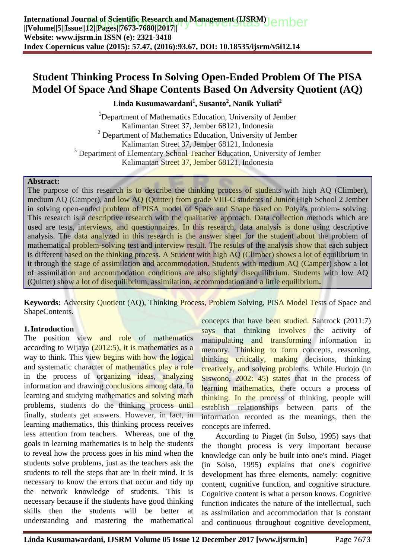### **Student Thinking Process In Solving Open-Ended Problem Of The PISA Model Of Space And Shape Contents Based On Adversity Quotient (AQ)**

**Linda Kusumawardani<sup>1</sup> , Susanto<sup>2</sup> , Nanik Yuliati<sup>2</sup>**

<sup>1</sup>Department of Mathematics Education, University of Jember Kalimantan Street 37, Jember 68121, Indonesia  $2$  Department of Mathematics Education, University of Jember Kalimantan Street 37, Jember 68121, Indonesia <sup>3</sup> Department of Elementary School Teacher Education, University of Jember Kalimantan Street 37, Jember 68121, Indonesia

#### **Abstract:**

The purp[ose of this research is to describe the thinking process of students with high AQ \(](http://repository.unej.ac.id/)Climber), medium AQ (Camper), and low AQ (Quitter) from grade VIII-C students of Junior High School 2 Jember in solving open-ended problem of PISA model of Space and Shape based on Polya's problem- solving. This research is a descriptive research with the qualitative approach. Data collection methods which are used are tests, interviews, and questionnaires. In this research, data analysis is done using descriptive analysis. The data analyzed in this research is the answer sheet for the student about the problem of mathematical problem-solving test and interview result. The results of the analysis show that each subject is different based on the thinking process. A Student with high AQ (Climber) shows a lot of equilibrium in it through the stage of assimilation and accommodation. Students with medium AQ (Camper) show a lot of assimilation and accommodation conditions are also slightly disequilibrium. Students with low AQ (Quitter) show a lot of disequilibrium, assimilation, accommodation and a little equilibrium**.**

**Keywords:** Adversity Quotient (AQ), Thinking Process, Problem Solving, PISA Model Tests of Space and ShapeContents.

#### **1.Introduction**

The position view and role of mathematics according to Wijaya (2012:5), it is mathematics as a way to think. This view begins with how the logical and systematic character of mathematics play a role in the process of organizing ideas, analyzing information and drawing conclusions among data. In learning and studying mathematics and solving math problems, students do the thinking process until finally, students get answers. However, in fact, in learning mathematics, this thinking process receives less attention from teachers. Whereas, one of the goals in learning mathematics is to help the students to reveal how the process goes in his mind when the students solve problems, just as the teachers ask the students to tell the steps that are in their mind. It is necessary to know the errors that occur and tidy up the network knowledge of students. This is necessary because if the students have good thinking skills then the students will be better at understanding and mastering the mathematical

concepts that have been studied. Santrock (2011:7) says that thinking involves the activity of manipulating and transforming information in memory. Thinking to form concepts, reasoning, thinking critically, making decisions, thinking creatively, and solving problems. While Hudojo (in Siswono, 2002: 45) states that in the process of learning mathematics, there occurs a process of thinking. In the process of thinking, people will establish relationships between parts of the information recorded as the meanings, then the concepts are inferred.

2. According to Piaget (in Solso, 1995) says that the thought process is very important because knowledge can only be built into one's mind. Piaget (in Solso, 1995) explains that one's cognitive development has three elements, namely: cognitive content, cognitive function, and cognitive structure. Cognitive content is what a person knows. Cognitive function indicates the nature of the intellectual, such as assimilation and accommodation that is constant and continuous throughout cognitive development,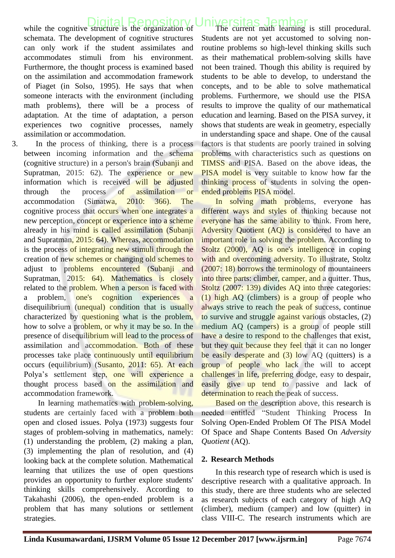### while the cognitive structure is the organization of [Digital Repository Universitas Jember](http://repository.unej.ac.id/)

schemata. The development of cognitive structures can only work if the student assimilates and accommodates stimuli from his environment. Furthermore, the thought process is examined based on the assimilation and accommodation framework of Piaget (in Solso, 1995). He says that when someone interacts with the environment (including math problems), there will be a process of adaptation. At the time of adaptation, a person experiences two cognitive processes, namely assimilation or accommodation.

3. In the process of thinking, there is a process between incoming information and the schema (cognitive structure) in a person's brain (Subanji and Supratman, 2015: 62). The experience or new information which is received will be adjusted through the process of assimilation or accommodation (Simatwa, 2010: 366). The cognitive process that occurs when one integrates a new perception, concept or experience into a scheme already in his mind is called assimilation (Subanji and Supratman, 2015: 64). Whereas, accommodation is the process of integrating new stimuli through the creation of new schemes or changing old schemes to adjust to problems encountered (Subanji and Supratman, 2015: 64). Mathematics is closely related to the problem. When a person is faced with a problem, one's cognition experiences disequilibrium (unequal) condition that is usually characterized by questioning what is the problem, how to solve a problem, or why it may be so. In the presence of disequilibrium will lead to the process of assimilation and accommodation. Both of these processes take place continuously until equilibrium occurs (equilibrium) (Susanto, 2011: 65). At each Polya's settlement step, one will experience a thought process based on the assimilation and accommodation framework.

In learning mathematics with problem-solving, students are certainly faced with a problem both open and closed issues. Polya (1973) suggests four stages of problem-solving in mathematics, namely: (1) understanding the problem, (2) making a plan, (3) implementing the plan of resolution, and (4) looking back at the complete solution. Mathematical learning that utilizes the use of open questions provides an opportunity to further explore students' thinking skills comprehensively. According to Takahashi (2006), the open-ended problem is a problem that has many solutions or settlement strategies.

The current math learning is still procedural. Students are not yet accustomed to solving nonroutine problems so high-level thinking skills such as their mathematical problem-solving skills have not been trained. Though this ability is required by students to be able to develop, to understand the concepts, and to be able to solve mathematical problems. Furthermore, we should use the PISA results to improve the quality of our mathematical education and learning. Based on the PISA survey, it shows that students are weak in geometry, especially in understanding space and shape. One of the causal factors is that students are poorly trained in solving problems with characteristics such as questions on TIMSS and PISA. Based on the above ideas, the PISA model is very suitable to know how far the thinking process of students in solving the openended problems PISA model.

In solving math problems, everyone has different ways and styles of thinking because not everyone has the same ability to think. From here, Adversity Quotient (AQ) is considered to have an important role in solving the problem. According to Stoltz (2000), AQ is one's intelligence in coping with and overcoming adversity. To illustrate, Stoltz (2007: 18) borrows the terminology of mountaineers into three parts: climber, camper, and a quitter. Thus, Stoltz (2007: 139) divides AQ into three categories: (1) high AQ (climbers) is a group of people who always strive to reach the peak of success, continue to survive and struggle against various obstacles, (2) medium AQ (campers) is a group of people still have a desire to respond to the challenges that exist, but they quit because they feel that it can no longer be easily desperate and  $(3)$  low AQ (quitters) is a group of people who lack the will to accept challenges in life, preferring dodge, easy to despair, easily give up tend to passive and lack of determination to reach the peak of success.

Based on the description above, this research is needed entitled "Student Thinking Process In Solving Open-Ended Problem Of The PISA Model Of Space and Shape Contents Based On *Adversity Quotient* (AQ).

#### **2. Research Methods**

In this research type of research which is used is descriptive research with a qualitative approach. In this study, there are three students who are selected as research subjects of each category of high AQ (climber), medium (camper) and low (quitter) in class VIII-C. The research instruments which are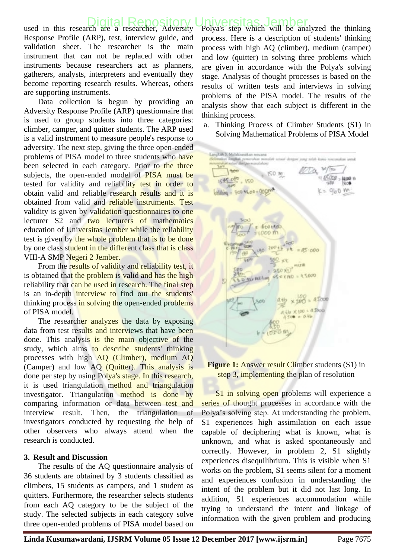### Iniversitas Jember

used in this research are a researcher, Adversity Response Profile (ARP), test, interview guide, and validation sheet. The researcher is the main instrument that can not be replaced with other instruments because researchers act as planners, gatherers, analysts, interpreters and eventually they become reporting research results. Whereas, others are supporting instruments.

Data collection is begun by providing an Adversity Response Profile (ARP) questionnaire that is used to group students into three categories: climber, camper, and quitter students. The ARP used is a valid instrument to measure people's response to adversity. [The next step, giving the three open-ended](http://repository.unej.ac.id/)  problems of PISA model to three students who have been selected in each category. Prior to the three subjects, the open-ended model of PISA must be tested for validity and reliability test in order to obtain valid and reliable research results and it is obtained from valid and reliable instruments. Test validity is given by validation questionnaires to one lecturer S2 and two lecturers of mathematics education of Universitas Jember while the reliability test is given by the whole problem that is to be done by one class student in the different class that is class VIII-A SMP Negeri 2 Jember.

From the results of validity and reliability test, it is obtained that the problem is valid and has the high reliability that can be used in research. The final step is an in-depth interview to find out the students' thinking process in solving the open-ended problems of PISA model.

The researcher analyzes the data by exposing data from test results and interviews that have been done. This analysis is the main objective of the study, which aims to describe students' thinking processes with high AQ (Climber), medium AQ (Camper) and low AQ (Quitter). This analysis is done per step by using Polya's stage. In this research, it is used triangulation method and triangulation investigator. Triangulation method is done by comparing information or data between test and interview result. Then, the triangulation of investigators conducted by requesting the help of other observers who always attend when the research is conducted.

#### **3. Result and Discussion**

The results of the AQ questionnaire analysis of 36 students are obtained by 3 students classified as climbers, 15 students as campers, and 1 student as quitters. Furthermore, the researcher selects students from each AQ category to be the subject of the study. The selected subjects in each category solve three open-ended problems of PISA model based on

Polya's step which will be analyzed the thinking process. Here is a description of students' thinking process with high AQ (climber), medium (camper) and low (quitter) in solving three problems which are given in accordance with the Polya's solving stage. Analysis of thought processes is based on the results of written tests and interviews in solving problems of the PISA model. The results of the analysis show that each subject is different in the thinking process.

a. Thinking Process of Climber Students (S1) in Solving Mathematical Problems of PISA Model

**The Motor**  $150m$ 1545.060 **JACKE 11**  $.150$ 19.00  $960$  m  $d$ **600+400**  $= 250 + 1$ **ARIO VIND**  $-0.52$  $×100$ 

**Figure 1:** Answer result Climber students (S1) in step 3, implementing the plan of resolution

S1 in solving open problems will experience a series of thought processes in accordance with the Polya's solving step. At understanding the problem, S1 experiences high assimilation on each issue capable of deciphering what is known, what is unknown, and what is asked spontaneously and correctly. However, in problem 2, S1 slightly experiences disequilibrium. This is visible when S1 works on the problem, S1 seems silent for a moment and experiences confusion in understanding the intent of the problem but it did not last long. In addition, S1 experiences accommodation while trying to understand the intent and linkage of information with the given problem and producing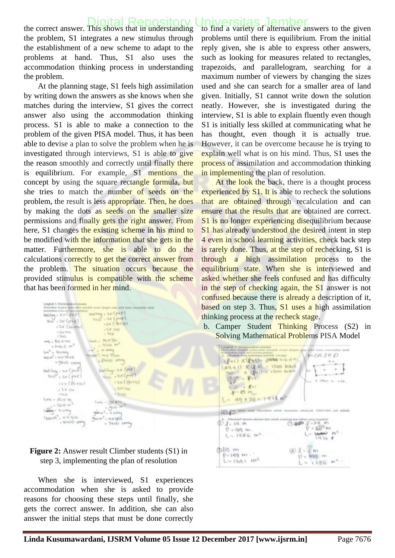### the correct answer. This shows that in understanding [Digital Repository Universitas Jember](http://repository.unej.ac.id/)

the problem, S1 integrates a new stimulus through the establishment of a new scheme to adapt to the problems at hand. Thus, S1 also uses the accommodation thinking process in understanding the problem.

At the planning stage, S1 feels high assimilation by writing down the answers as she knows when she matches during the interview, S1 gives the correct answer also using the accommodation thinking process. S1 is able to make a connection to the problem of the given PISA model. Thus, it has been able to devise a plan to solve the problem when he is investigated through interviews, S1 is able to give the reason smoothly and correctly until finally there is equilibrium. For example, S1 mentions the concept by using the square rectangle formula, but she tries to match the number of seeds on the problem, the result is less appropriate. Then, he does by making the dots as seeds on the smaller size permissions and finally gets the right answer. From here, S1 changes the existing scheme in his mind to be modified with the information that she gets in the matter. Furthermore, she is able to do the calculations correctly to get the correct answer from the problem. The situation occurs because the provided stimulus is compatible with the scheme that has been formed in her mind.

 $\begin{array}{l} \mathsf{c} = \mathsf{c} \cup \{ \mathsf{c} \} \\ \mathsf{c} \cup \mathsf{c} \cup \mathsf{c} \\ \mathsf{c} \cup \mathsf{c} \cup \mathsf{c} \end{array} \begin{array}{l} \mathsf{c} \cup \mathsf{c} \cup \mathsf{c} \\ \mathsf{c} \cup \mathsf{c} \cup \mathsf{c} \end{array}$  $iselling - 3x (f+1)$  $-2 \times 2 \times 1201$  $-2x$  (*Lemma*  $-28100$  $^{+5\times100}_{-300}$ Nois uns > 60 x 10 **SHUO H**  $+240.0$  m<sup>1</sup>  $4m^2 + 44\pi m_0$ at salva  $444 - 7$ MON<sup>1</sup> - HYC SHIEL . PHICO OR - Skitci one |<br>| الأوم) : علا أعدة ( 100)<br>| المجموعة ( 100) Looking- 28 Cont .zyCpiel +1x(POHa)  $-210 (Bb + 20)$  $2000$  $+2.9^\circ$ , thus -350  $+34.40$ LAIL - BUICTO  $.50 \, \mathrm{km}$  $+1600$  H  $+300$  $\frac{d^2y}{dx^2}$  - a comp  $m u^2$ , 400%  $160010^2$ , at  $\times 1600$ **LANGO** - Great aring  $-5600$  cmms

#### **Figure 2:** Answer result Climber students (S1) in step 3, implementing the plan of resolution

When she is interviewed, S1 experiences accommodation when she is asked to provide reasons for choosing these steps until finally, she gets the correct answer. In addition, she can also answer the initial steps that must be done correctly Iniversitas Jember<br>to find a variety of alternative answers to the given problems until there is equilibrium. From the initial reply given, she is able to express other answers, such as looking for measures related to rectangles, trapezoids, and parallelogram, searching for a maximum number of viewers by changing the sizes used and she can search for a smaller area of land given. Initially, S1 cannot write down the solution neatly. However, she is investigated during the interview, S1 is able to explain fluently even though S1 is initially less skilled at communicating what he has thought, even though it is actually true. However, it can be overcome because he is trying to explain well what is on his mind. Thus, S1 uses the process of assimilation and accommodation thinking in implementing the plan of resolution.

At the look the back, there is a thought process experienced by S1. It is able to recheck the solutions that are obtained through recalculation and can ensure that the results that are obtained are correct. S1 is no longer experiencing disequilibrium because S1 has already understood the desired intent in step 4 even in school learning activities, check back step is rarely done. Thus, at the step of rechecking, S1 is through a high assimilation process to the equilibrium state. When she is interviewed and asked whether she feels confused and has difficulty in the step of checking again, the S1 answer is not confused because there is already a description of it, based on step 3. Thus, S1 uses a high assimilation thinking process at the **recheck** stage.

b. Camper Student Thinking Process (S2) in Solving Mathematical Problems PISA Model

**Consumer**  $H = 0.180D$ EP+13 X (P+1)= Januar University  $(4941) \times (140)$  $-$  1500 livest  $\sim$ s **CHO birbot**  $\overline{y}$ diam.  $\frac{1}{2}$   $\frac{1}{2}$   $\frac{1}{2}$   $\frac{1}{2}$   $\frac{1}{2}$   $\frac{1}{2}$ 45 m x  $49 \times 29 = +453$  m<sup>3</sup> 前文書  $\bigotimes_{i=1}^n A_i$  . I.G., 10, e.  $(1.102)$ 1.94  $-60^{\circ}$  m  $P = QQ_1$  m  $m^{\pm}$  $L = 1986 m^2$ dele m  $X = X$  $P = 149 m -$ **BOSCE:** IN  $L = 13a + m^2$  $=1196$  m<sup>2</sup>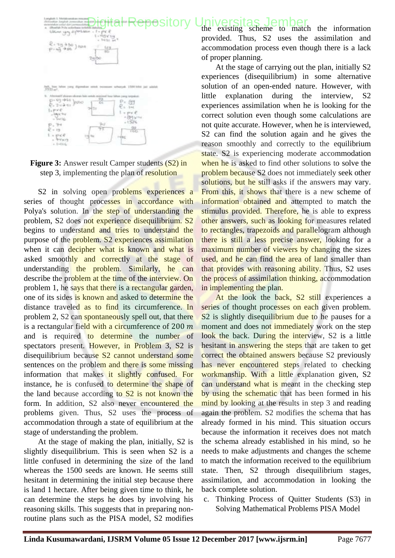## [Digital Repository Universitas Jember](http://repository.unej.ac.id/)<br>
the existing scheme to match the information



**Figure 3:** Answer result Camper students (S2) in step 3, implementing the plan of resolution

S2 in solving open problems experiences a series of thought processes in accordance with Polya's solution. In the step of understanding the problem, S2 does not experience disequilibrium. S2 begins to understand and tries to understand the purpose of the problem. S2 experiences assimilation when it can decipher what is known and what is asked smoothly and correctly at the stage of understanding the problem. Similarly, he can describe the problem at the time of the interview. On problem 1, he says that there is a rectangular garden, one of its sides is known and asked to determine the distance traveled as to find its circumference. In problem 2, S2 can spontaneously spell out, that there is a rectangular field with a circumference of  $200 \ m$ and is required to determine the number of spectators present. However, in Problem 3, S2 is disequilibrium because S2 cannot understand some sentences on the problem and there is some missing information that makes it slightly confused. For instance, [he is confused to determine the shape of](http://repository.unej.ac.id/)  the land because according to S2 is not known the form. In addition, S2 also never encountered the problems given. Thus, S2 uses the process of accommodation through a state of equilibrium at the stage of understanding the problem.

At the stage of making the plan, initially, S2 is slightly disequilibrium. This is seen when S2 is a little confused in determining the size of the land whereas the 1500 seeds are known. He seems still hesitant in determining the initial step because there is land 1 hectare. After being given time to think, he can determine the steps he does by involving his reasoning skills. This suggests that in preparing nonroutine plans such as the PISA model, S2 modifies

provided. Thus, S2 uses the assimilation and accommodation process even though there is a lack of proper planning.

At the stage of carrying out the plan, initially S2 experiences (disequilibrium) in some alternative solution of an open-ended nature. However, with little explanation during the interview, S2 experiences assimilation when he is looking for the correct solution even though some calculations are not quite accurate. However, when he is interviewed, S2 can find the solution again and he gives the reason smoothly and correctly to the equilibrium state. S2 is experiencing moderate accommodation when he is asked to find other solutions to solve the problem because S2 does not immediately seek other solutions, but he still asks if the answers may vary. From this, it shows that there is a new scheme of information obtained and attempted to match the stimulus provided. Therefore, he is able to express other answers, such as looking for measures related to rectangles, trapezoids and parallelogram although there is still a less precise answer, looking for a maximum number of viewers by changing the sizes used, and he can find the area of land smaller than that provides with reasoning ability. Thus, S2 uses the process of assimilation thinking, accommodation in implementing the plan.

At the look the back, S2 still experiences a series of thought processes on each given problem. S<sub>2</sub> is slightly disequilibrium due to he pauses for a moment and does not **immediately** work on the step look the back. During the interview, S2 is a little hesitant in answering the steps that are taken to get correct the obtained answers because S2 previously has never encountered steps related to checking workmanship. With a little explanation given, S2 can understand what is meant in the checking step by using the schematic that has been formed in his mind by looking at the results in step 3 and reading again the problem. S2 modifies the schema that has already formed in his mind. This situation occurs because the information it receives does not match the schema already established in his mind, so he needs to make adjustments and changes the scheme to match the information received to the equilibrium state. Then, S2 through disequilibrium stages, assimilation, and accommodation in looking the back complete solution.

c. Thinking Process of Quitter Students (S3) in Solving Mathematical Problems PISA Model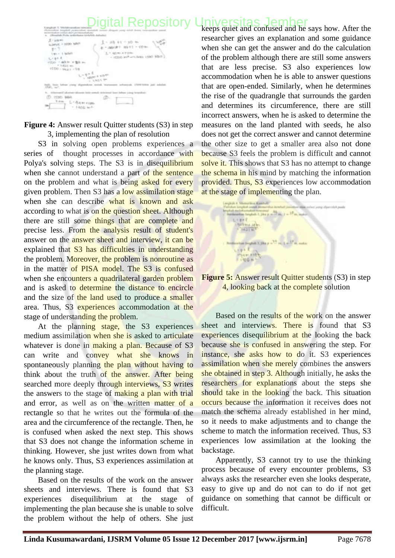# [Digital Repository Universitas Jember](http://repository.unej.ac.id/)<br>Reeps quiet and confused and he says how. After the

| 5. satuplicals                                                   |                                                                                     |
|------------------------------------------------------------------|-------------------------------------------------------------------------------------|
| $2 - 100$<br>LLOWIUTE:<br>ti-<br>Len v. I. Baltim.<br>$L$ (ge.f. | A. 201 8 5 7 8 9 1<br>$-325$<br>1. * AD/81 KT-076<br>+ UTBUS WAR ANY JERRY 1520 THE |
| 525453<br>$7.1411$ ms.<br>$1500 - 3621 - 22$                     | $-13257$                                                                            |
| <b>RALIN'</b>                                                    |                                                                                     |
| TO 1530 MHz<br>14m<br>화식                                         | m.                                                                                  |

**Figure 4:** Answer result Quitter students (S3) in step 3, implementing the plan of resolution

S3 in solving open problems experiences a series of thought processes in accordance with Polya's solving steps. The S3 is in disequilibrium when she cannot understand a part of the sentence on the problem and what is being asked for every given problem. Then S3 has a low assimilation stage when she can describe what is known and ask according to what is on the question sheet. Although there are still some things that are complete and precise less. From the analysis result of student's answer on the answer sheet and interview, it can be explained that S3 has difficulties in understanding the problem. Moreover, the problem is nonroutine as in the matter of PISA model. The S3 is confused when she encounters a quadrilateral garden problem and is asked to determine the distance to encircle and the size of the land used to produce a smaller area. Thus, S3 experiences accommodation at the stage of understanding the problem.

At the planning stage, the S3 experiences medium assimilation when she is asked to articulate whatever is done in making a plan. Because of S3 can write and convey what she knows in spontaneously planning the plan without having to think about the truth of the answer. After being searched more deeply through interviews, S3 writes the answers to the stage of making a plan with trial and error, as well as on the written matter of a rectangle so that he writes out the formula of the area and the circumference of the rectangle. Then, he is confused when asked the next step. This shows that S3 does not change the information scheme in thinking. However, she just writes down from what he knows only. Thus, S3 experiences assimilation at the planning stage.

Based on the results of the work on the answer sheets and interviews. There is found that S3 experiences disequilibrium at the stage of implementing the plan because she is unable to solve the problem without the help of others. She just researcher gives an explanation and some guidance when she can get the answer and do the calculation of the problem although there are still some answers that are less precise. S3 also experiences low accommodation when he is able to answer questions that are open-ended. Similarly, when he determines the rise of the quadrangle that surrounds the garden and determines its circumference, there are still incorrect answers, when he is asked to determine the measures on the land planted with seeds, he also does not get the correct answer and cannot determine the other size to get a smaller area also not done because S3 feels the problem is difficult and cannot solve it. This shows that S3 has no attempt to change the schema in his mind by matching the information provided. Thus, S3 experiences low accommodation at the stage of implementing the plan.

| u.                    |
|-----------------------|
| $-10$                 |
|                       |
| E(H)<br>۰             |
| to 6 mail at          |
| 14.21 m <sup>2</sup>  |
| ۰                     |
|                       |
|                       |
| 11                    |
|                       |
| . .<br>$\mathbb{R}^n$ |
|                       |
|                       |
|                       |
| 1100 - 101<br>٠       |
|                       |
|                       |

**Figure 5:** Answer result Quitter students (S3) in step 4, looking back at the complete solution

Based on the results of the work on the answer sheet and interviews. There is found that S3 experiences disequilibrium at the looking the back because she is confused in answering the step. For instance, she asks how to do it. S3 experiences assimilation when she merely combines the answers she obtained in step 3. Although initially, he asks the researchers for explanations about the steps she should take in the looking the back. This situation occurs because the information it receives does not match the schema already established in her mind, so it needs to make adjustments and to change the scheme to match the information received. Thus, S3 experiences low assimilation at the looking the backstage.

Apparently, S3 cannot try to use the thinking process because of every encounter problems, S3 always asks the researcher even she looks desperate, easy to give up and do not can to do if not get guidance on something that cannot be difficult or difficult.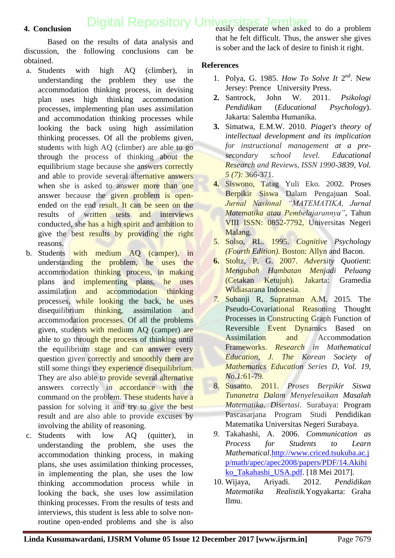## [Digital Repository Universitas Jember](http://repository.unej.ac.id/)<br>easily desperate when asked to do a problem

#### **4. Conclusion**

Based on the results of data analysis and discussion, the following conclusions can be obtained.

- a. Students with high AQ (climber), in understanding the problem they use the accommodation thinking process, in devising plan uses high thinking accommodation processes, implementing plan uses assimilation and accommodation thinking processes while looking the back using high assimilation thinking processes. Of all the problems given, students with high AQ (climber) are able to go through the process of thinking about the equilibrium stage because she answers correctly and able to provide several alternative answers when she is asked to answer more than one answer because the given problem is openended on the end result. It can be seen on the results of written tests and interviews conducted, she has a high spirit and ambition to give the best results by providing the right reasons.
- b. Students with medium AQ (camper), in understanding the problem, he uses the accommodation thinking process, in making plans and implementing plans, he uses assimilation and accommodation thinking proces[ses, while looking the back, he uses](http://repository.unej.ac.id/)  disequilibrium thinking, assimilation and accommodation processes. Of all the problems given, students with medium AQ (camper) are able to go through the process of thinking until the equilibrium stage and can answer every question given correctly and smoothly there are still some things they experience disequilibrium. They are also able to **provide several alternative** answers correctly in **accordance** with the command on the problem. These students have a passion for solving it and try to give the best result and are also able to provide excuses by involving the ability of reasoning.
- c. Students with low AQ (quitter), in understanding the problem, she uses the accommodation thinking process, in making plans, she uses assimilation thinking processes, in implementing the plan, she uses the low thinking accommodation process while in looking the back, she uses low assimilation thinking processes. From the results of tests and interviews, this student is less able to solve nonroutine open-ended problems and she is also

that he felt difficult. Thus, the answer she gives is sober and the lack of desire to finish it right.

#### **References**

- 1. Polya, G. 1985. *How To Solve It* 2<sup>nd</sup>. New Jersey: Prence University Press.
- **2.** Santrock, John W. 2011. *Psikologi Pendidikan* (*Educational Psychology*). Jakarta: Salemba Humanika.
- **3.** Simatwa, E.M.W. 2010*. Piaget's theory of intellectual development and its implication for instructional management at a presecondary school level. Educational Research and Reviews, ISSN 1990-3839, Vol. 5 (7):* 366-371.
- **4.** Siswono, Tatag Yuli Eko. 2002. Proses Berpikir Siswa Dalam Pengajuan Soal*. Jurnal Nasional "MATEMATIKA, Jurnal Matematika atau Pembelajarannya"*, Tahun VIII ISSN: 0852-7792, Universitas Negeri Malang.
- 5. Solso, RL. 1995. *Cognitive Psychology (Fourth Edition)*. Boston: Allyn and Bacon.
- **6.** Stoltz, P. G. 2007. *Adversity Quotient*: *Mengubah Hambatan Menjadi Peluang*  (Cetakan Ketujuh). Jakarta: Gramedia Widiasarana Indonesia.
- *7.* Subanji R, Supratman A.M. 2015. The Pseudo-Covariational Reasoning Thought Processes in Constructing Graph Function of Reversible Event Dynamics Based on Assimilation and Accommodation Frameworks. *Research in Mathematical Education, J. The Korean Society of Mathematics Education Series D, Vol. 19, No.1:*61-79*.*
- *8.* Susanto. 2011. *Proses Berpikir Siswa Tunanetra Dalam Menyelesaikan Masalah Matematika*. *Disertasi*. Surabaya: Program Pascasarjana Program Studi Pendidikan Matematika Universitas Negeri Surabaya.
- *9.* Takahashi, A. 2006. *Communication as Process for Students to Learn Mathematical*[.http://www.criced.tsukuba.ac.j](http://www.criced.tsukuba.ac.jp/math/apec/apec2008/papers/PDF/14.Akihiko_Takahashi_USA.pdf) [p/math/apec/apec2008/papers/PDF/14.Akihi](http://www.criced.tsukuba.ac.jp/math/apec/apec2008/papers/PDF/14.Akihiko_Takahashi_USA.pdf) [ko\\_Takahashi\\_USA.pdf.](http://www.criced.tsukuba.ac.jp/math/apec/apec2008/papers/PDF/14.Akihiko_Takahashi_USA.pdf) [18 Mei 2017].
- 10. Wijaya, Ariyadi. 2012. *Pendidikan Matematika Realistik.*Yogyakarta: Graha Ilmu.